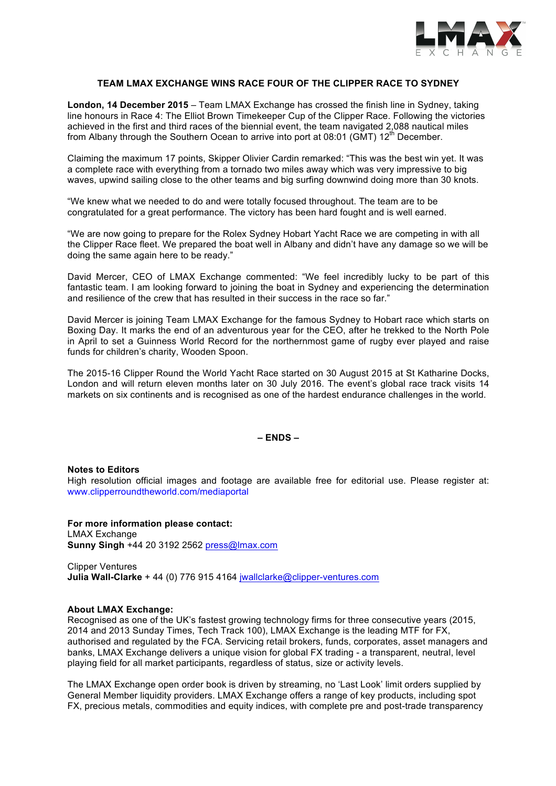

# **TEAM LMAX EXCHANGE WINS RACE FOUR OF THE CLIPPER RACE TO SYDNEY**

**London, 14 December 2015** – Team LMAX Exchange has crossed the finish line in Sydney, taking line honours in Race 4: The Elliot Brown Timekeeper Cup of the Clipper Race. Following the victories achieved in the first and third races of the biennial event, the team navigated 2,088 nautical miles from Albany through the Southern Ocean to arrive into port at  $08:01$  (GMT) 12<sup>th</sup> December.

Claiming the maximum 17 points, Skipper Olivier Cardin remarked: "This was the best win yet. It was a complete race with everything from a tornado two miles away which was very impressive to big waves, upwind sailing close to the other teams and big surfing downwind doing more than 30 knots.

"We knew what we needed to do and were totally focused throughout. The team are to be congratulated for a great performance. The victory has been hard fought and is well earned.

"We are now going to prepare for the Rolex Sydney Hobart Yacht Race we are competing in with all the Clipper Race fleet. We prepared the boat well in Albany and didn't have any damage so we will be doing the same again here to be ready."

David Mercer, CEO of LMAX Exchange commented: "We feel incredibly lucky to be part of this fantastic team. I am looking forward to joining the boat in Sydney and experiencing the determination and resilience of the crew that has resulted in their success in the race so far."

David Mercer is joining Team LMAX Exchange for the famous Sydney to Hobart race which starts on Boxing Day. It marks the end of an adventurous year for the CEO, after he trekked to the North Pole in April to set a Guinness World Record for the northernmost game of rugby ever played and raise funds for children's charity, Wooden Spoon.

The 2015-16 Clipper Round the World Yacht Race started on 30 August 2015 at St Katharine Docks, London and will return eleven months later on 30 July 2016. The event's global race track visits 14 markets on six continents and is recognised as one of the hardest endurance challenges in the world.

## **– ENDS –**

#### **Notes to Editors**

High resolution official images and footage are available free for editorial use. Please register at: www.clipperroundtheworld.com/mediaportal

**For more information please contact:**  LMAX Exchange **Sunny Singh** +44 20 3192 2562 [press@lmax.com](mailto:press@lmax.com)

Clipper Ventures **Julia Wall-Clarke** + 44 (0) 776 915 4164 [jwallclarke@clipper-ventures.com](mailto:jwallclarke@clipper-ventures.com)

## **About LMAX Exchange:**

Recognised as one of the UK's fastest growing technology firms for three consecutive years (2015, 2014 and 2013 Sunday Times, Tech Track 100), LMAX Exchange is the leading MTF for FX, authorised and regulated by the FCA. Servicing retail brokers, funds, corporates, asset managers and banks, LMAX Exchange delivers a unique vision for global FX trading - a transparent, neutral, level playing field for all market participants, regardless of status, size or activity levels.

The LMAX Exchange open order book is driven by streaming, no 'Last Look' limit orders supplied by General Member liquidity providers. LMAX Exchange offers a range of key products, including spot FX, precious metals, commodities and equity indices, with complete pre and post-trade transparency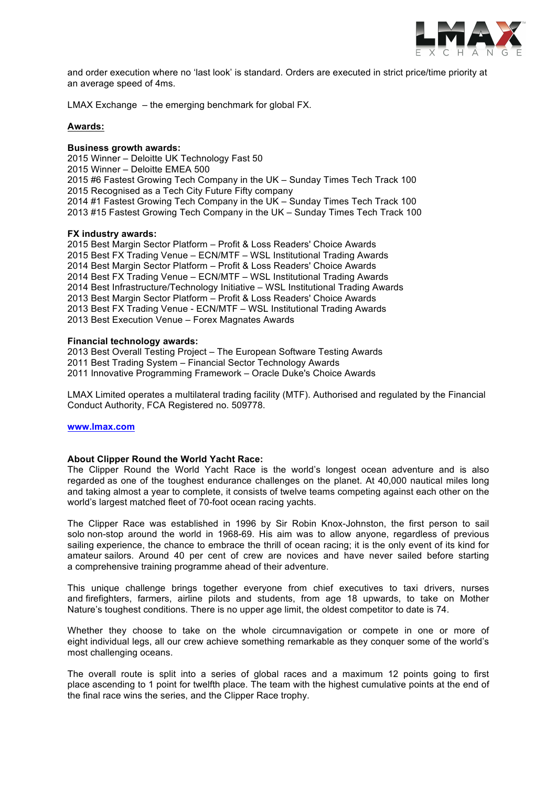

and order execution where no 'last look' is standard. Orders are executed in strict price/time priority at an average speed of 4ms.

LMAX Exchange – the emerging benchmark for global FX.

### **Awards:**

## **Business growth awards:**

2015 Winner – Deloitte UK Technology Fast 50 2015 Winner – Deloitte EMEA 500 2015 #6 Fastest Growing Tech Company in the UK – Sunday Times Tech Track 100 2015 Recognised as a Tech City Future Fifty company 2014 #1 Fastest Growing Tech Company in the UK – Sunday Times Tech Track 100 2013 #15 Fastest Growing Tech Company in the UK – Sunday Times Tech Track 100

### **FX industry awards:**

2015 Best Margin Sector Platform – Profit & Loss Readers' Choice Awards 2015 Best FX Trading Venue – ECN/MTF – WSL Institutional Trading Awards 2014 Best Margin Sector Platform – Profit & Loss Readers' Choice Awards 2014 Best FX Trading Venue – ECN/MTF – WSL Institutional Trading Awards 2014 Best Infrastructure/Technology Initiative – WSL Institutional Trading Awards 2013 Best Margin Sector Platform – Profit & Loss Readers' Choice Awards 2013 Best FX Trading Venue - ECN/MTF – WSL Institutional Trading Awards 2013 Best Execution Venue – Forex Magnates Awards

### **Financial technology awards:**

2013 Best Overall Testing Project – The European Software Testing Awards 2011 Best Trading System – Financial Sector Technology Awards 2011 Innovative Programming Framework – Oracle Duke's Choice Awards

LMAX Limited operates a multilateral trading facility (MTF). Authorised and regulated by the Financial Conduct Authority, FCA Registered no. 509778.

#### **[www.lmax.com](http://www.lmax.com)**

#### **About Clipper Round the World Yacht Race:**

The Clipper Round the World Yacht Race is the world's longest ocean adventure and is also regarded as one of the toughest endurance challenges on the planet. At 40,000 nautical miles long and taking almost a year to complete, it consists of twelve teams competing against each other on the world's largest matched fleet of 70-foot ocean racing yachts.

The Clipper Race was established in 1996 by Sir Robin Knox-Johnston, the first person to sail solo non-stop around the world in 1968-69. His aim was to allow anyone, regardless of previous sailing experience, the chance to embrace the thrill of ocean racing; it is the only event of its kind for amateur sailors. Around 40 per cent of crew are novices and have never sailed before starting a comprehensive training programme ahead of their adventure.

This unique challenge brings together everyone from chief executives to taxi drivers, nurses and firefighters, farmers, airline pilots and students, from age 18 upwards, to take on Mother Nature's toughest conditions. There is no upper age limit, the oldest competitor to date is 74.

Whether they choose to take on the whole circumnavigation or compete in one or more of eight individual legs, all our crew achieve something remarkable as they conquer some of the world's most challenging oceans.

The overall route is split into a series of global races and a maximum 12 points going to first place ascending to 1 point for twelfth place. The team with the highest cumulative points at the end of the final race wins the series, and the Clipper Race trophy.